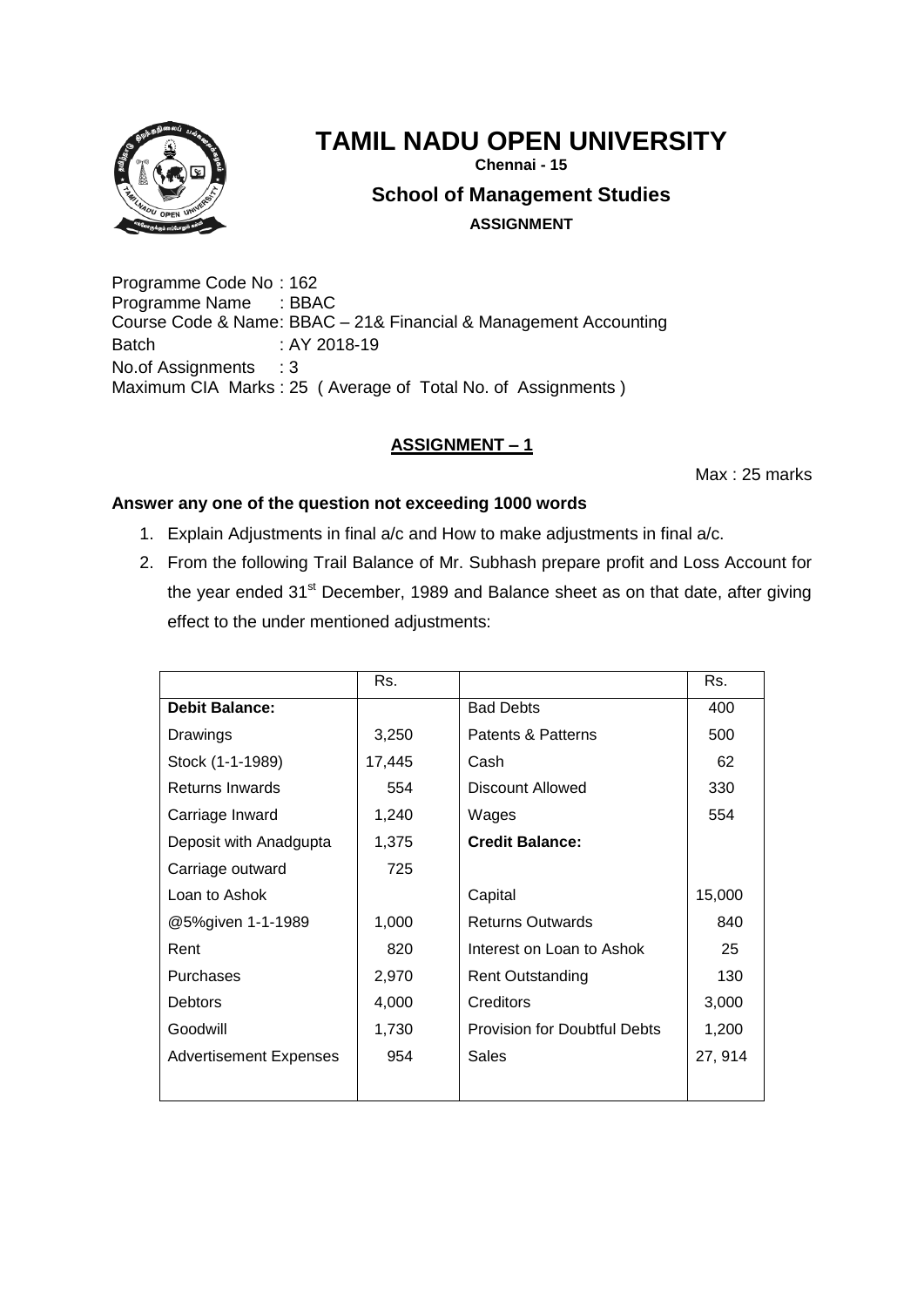

# **TAMIL NADU OPEN UNIVERSITY**

**Chennai - 15**

**School of Management Studies**

**ASSIGNMENT**

Programme Code No : 162 Programme Name : BBAC Course Code & Name: BBAC – 21& Financial & Management Accounting Batch : AY 2018-19 No.of Assignments : 3 Maximum CIA Marks : 25 ( Average of Total No. of Assignments )

# **ASSIGNMENT – 1**

Max : 25 marks

- 1. Explain Adjustments in final a/c and How to make adjustments in final a/c.
- 2. From the following Trail Balance of Mr. Subhash prepare profit and Loss Account for the year ended 31<sup>st</sup> December, 1989 and Balance sheet as on that date, after giving effect to the under mentioned adjustments:

| Rs.    |                                     | Rs.     |
|--------|-------------------------------------|---------|
|        | <b>Bad Debts</b>                    | 400     |
| 3,250  | Patents & Patterns                  | 500     |
| 17,445 | Cash                                | 62      |
| 554    | Discount Allowed                    | 330     |
| 1,240  | Wages                               | 554     |
| 1,375  | <b>Credit Balance:</b>              |         |
| 725    |                                     |         |
|        | Capital                             | 15,000  |
| 1,000  | <b>Returns Outwards</b>             | 840     |
| 820    | Interest on Loan to Ashok           | 25      |
| 2,970  | <b>Rent Outstanding</b>             | 130     |
| 4,000  | Creditors                           | 3,000   |
| 1,730  | <b>Provision for Doubtful Debts</b> | 1,200   |
| 954    | Sales                               | 27, 914 |
|        |                                     |         |
|        |                                     |         |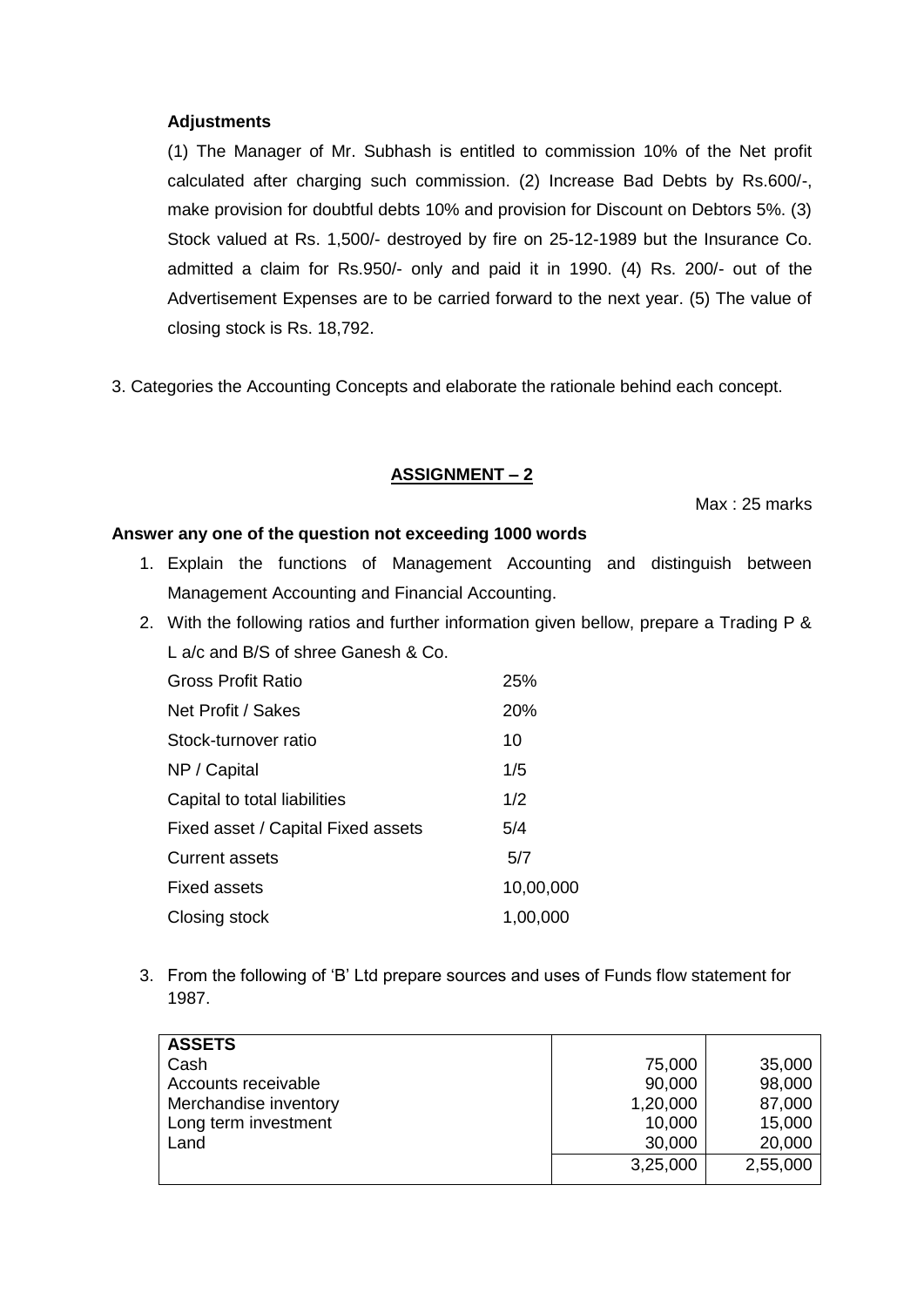## **Adjustments**

(1) The Manager of Mr. Subhash is entitled to commission 10% of the Net profit calculated after charging such commission. (2) Increase Bad Debts by Rs.600/-, make provision for doubtful debts 10% and provision for Discount on Debtors 5%. (3) Stock valued at Rs. 1,500/- destroyed by fire on 25-12-1989 but the Insurance Co. admitted a claim for Rs.950/- only and paid it in 1990. (4) Rs. 200/- out of the Advertisement Expenses are to be carried forward to the next year. (5) The value of closing stock is Rs. 18,792.

3. Categories the Accounting Concepts and elaborate the rationale behind each concept.

## **ASSIGNMENT – 2**

Max : 25 marks

## **Answer any one of the question not exceeding 1000 words**

- 1. Explain the functions of Management Accounting and distinguish between Management Accounting and Financial Accounting.
- 2. With the following ratios and further information given bellow, prepare a Trading P & L a/c and B/S of shree Ganesh & Co.

| <b>Gross Profit Ratio</b>          | 25%       |
|------------------------------------|-----------|
| Net Profit / Sakes                 | 20%       |
| Stock-turnover ratio               | 10        |
| NP / Capital                       | 1/5       |
| Capital to total liabilities       | 1/2       |
| Fixed asset / Capital Fixed assets | 5/4       |
| <b>Current assets</b>              | 5/7       |
| Fixed assets                       | 10,00,000 |
| Closing stock                      | 1,00,000  |

3. From the following of 'B' Ltd prepare sources and uses of Funds flow statement for 1987.

| <b>ASSETS</b>         |          |          |
|-----------------------|----------|----------|
| Cash                  | 75,000   | 35,000   |
| Accounts receivable   | 90,000   | 98,000   |
| Merchandise inventory | 1,20,000 | 87,000   |
| Long term investment  | 10,000   | 15,000   |
| Land                  | 30,000   | 20,000   |
|                       | 3,25,000 | 2,55,000 |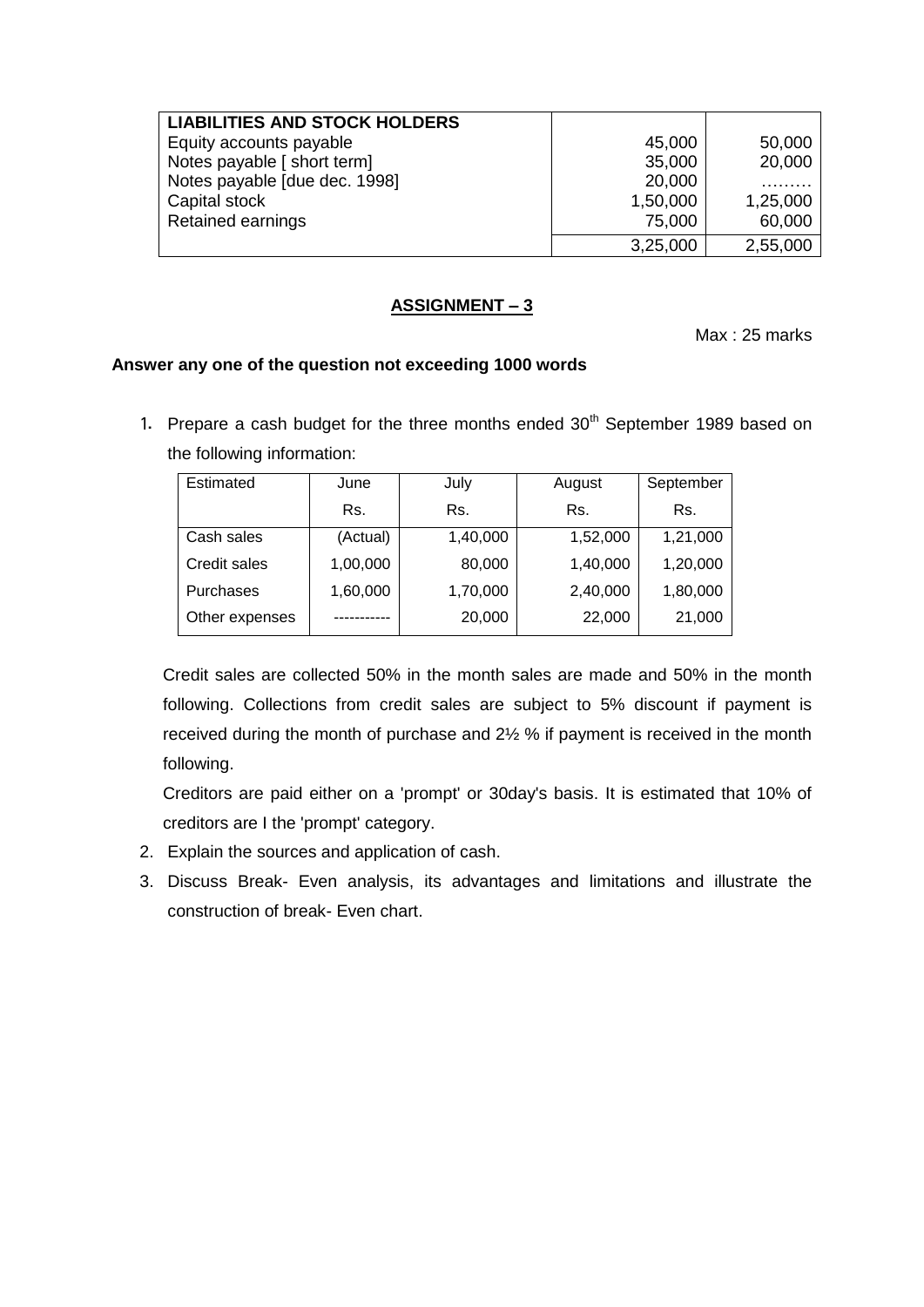| <b>LIABILITIES AND STOCK HOLDERS</b> |          |          |
|--------------------------------------|----------|----------|
| Equity accounts payable              | 45,000   | 50,000   |
| Notes payable [ short term]          | 35,000   | 20,000   |
| Notes payable [due dec. 1998]        | 20,000   |          |
| Capital stock                        | 1,50,000 | 1,25,000 |
| <b>Retained earnings</b>             | 75,000   | 60,000   |
|                                      | 3,25,000 | 2,55,000 |

## **ASSIGNMENT – 3**

Max : 25 marks

## **Answer any one of the question not exceeding 1000 words**

1. Prepare a cash budget for the three months ended  $30<sup>th</sup>$  September 1989 based on the following information:

| Estimated      | June     | July     | August   | September |
|----------------|----------|----------|----------|-----------|
|                | Rs.      | Rs.      | Rs.      | Rs.       |
| Cash sales     | (Actual) | 1,40,000 | 1,52,000 | 1,21,000  |
| Credit sales   | 1,00,000 | 80,000   | 1,40,000 | 1,20,000  |
| Purchases      | 1,60,000 | 1,70,000 | 2,40,000 | 1,80,000  |
| Other expenses |          | 20,000   | 22,000   | 21,000    |

Credit sales are collected 50% in the month sales are made and 50% in the month following. Collections from credit sales are subject to 5% discount if payment is received during the month of purchase and 2½ % if payment is received in the month following.

Creditors are paid either on a 'prompt' or 30day's basis. It is estimated that 10% of creditors are I the 'prompt' category.

- 2. Explain the sources and application of cash.
- 3. Discuss Break- Even analysis, its advantages and limitations and illustrate the construction of break- Even chart.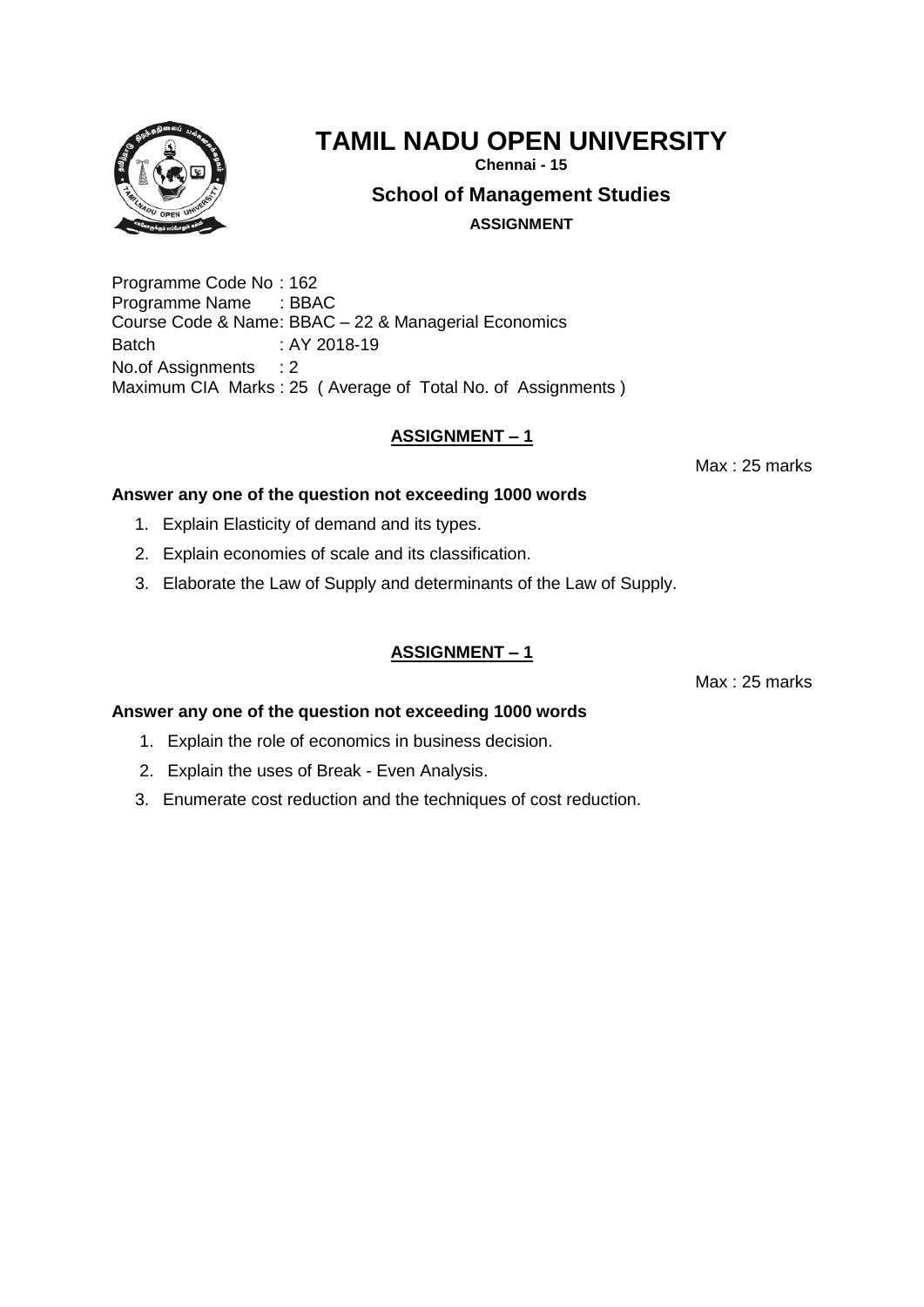

# **TAMIL NADU OPEN UNIVERSITY**

**Chennai - 15**

**School of Management Studies**

**ASSIGNMENT**

Programme Code No : 162 Programme Name : BBAC Course Code & Name: BBAC – 22 & Managerial Economics Batch : AY 2018-19 No.of Assignments : 2 Maximum CIA Marks : 25 ( Average of Total No. of Assignments )

# **ASSIGNMENT – 1**

Max : 25 marks

## **Answer any one of the question not exceeding 1000 words**

- 1. Explain Elasticity of demand and its types.
- 2. Explain economies of scale and its classification.
- 3. Elaborate the Law of Supply and determinants of the Law of Supply.

# **ASSIGNMENT – 1**

Max : 25 marks

- 1. Explain the role of economics in business decision.
- 2. Explain the uses of Break Even Analysis.
- 3. Enumerate cost reduction and the techniques of cost reduction.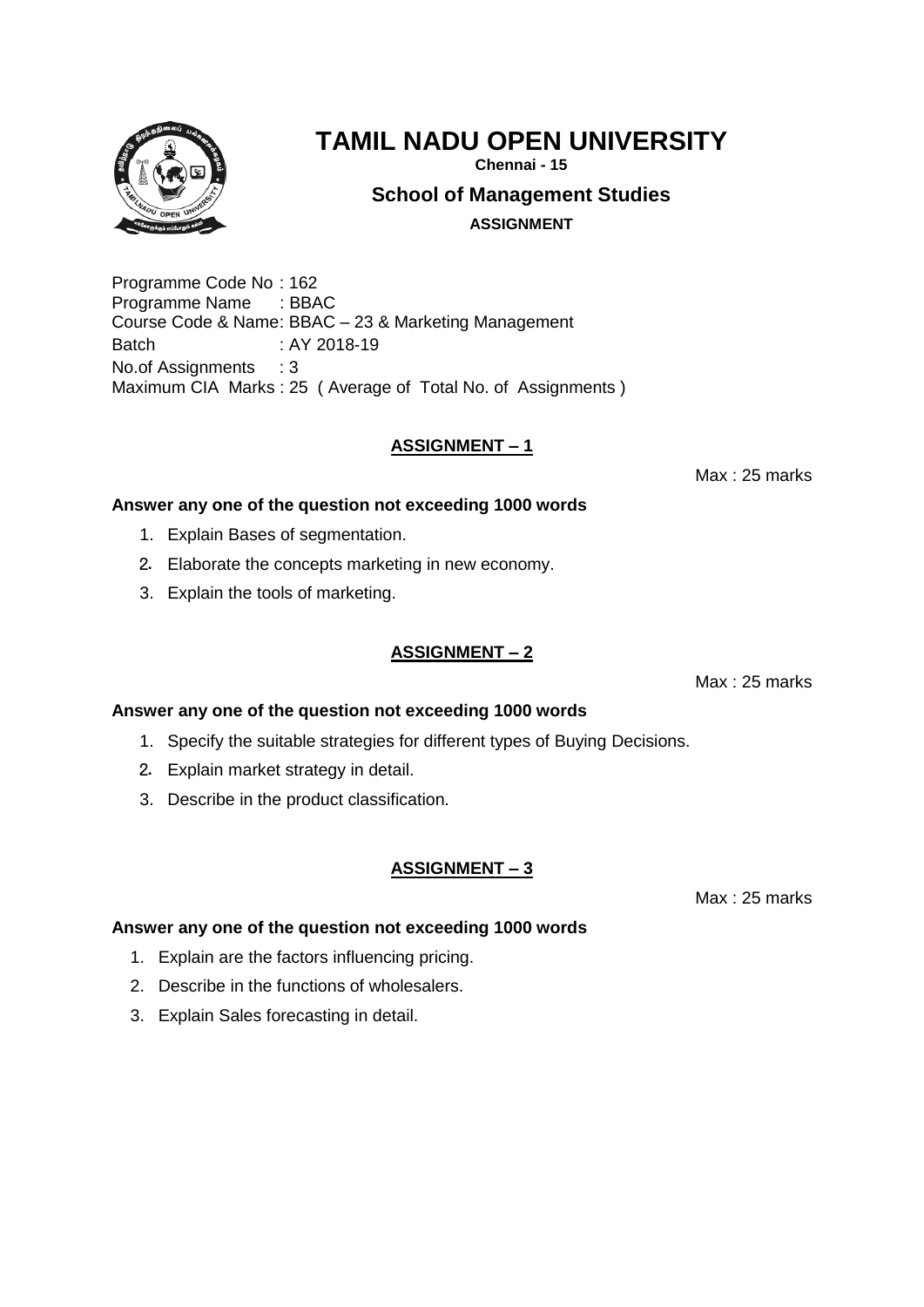

**Chennai - 15**

**School of Management Studies**

**ASSIGNMENT**

Programme Code No : 162 Programme Name : BBAC Course Code & Name: BBAC – 23 & Marketing Management Batch : AY 2018-19 No.of Assignments : 3 Maximum CIA Marks : 25 ( Average of Total No. of Assignments )

## **ASSIGNMENT – 1**

Max : 25 marks

## **Answer any one of the question not exceeding 1000 words**

- 1. Explain Bases of segmentation.
- 2. Elaborate the concepts marketing in new economy.
- 3. Explain the tools of marketing.

#### **ASSIGNMENT – 2**

Max : 25 marks

## **Answer any one of the question not exceeding 1000 words**

- 1. Specify the suitable strategies for different types of Buying Decisions.
- 2. Explain market strategy in detail.
- 3. Describe in the product classification.

#### **ASSIGNMENT – 3**

Max : 25 marks

- 1. Explain are the factors influencing pricing.
- 2. Describe in the functions of wholesalers.
- 3. Explain Sales forecasting in detail.

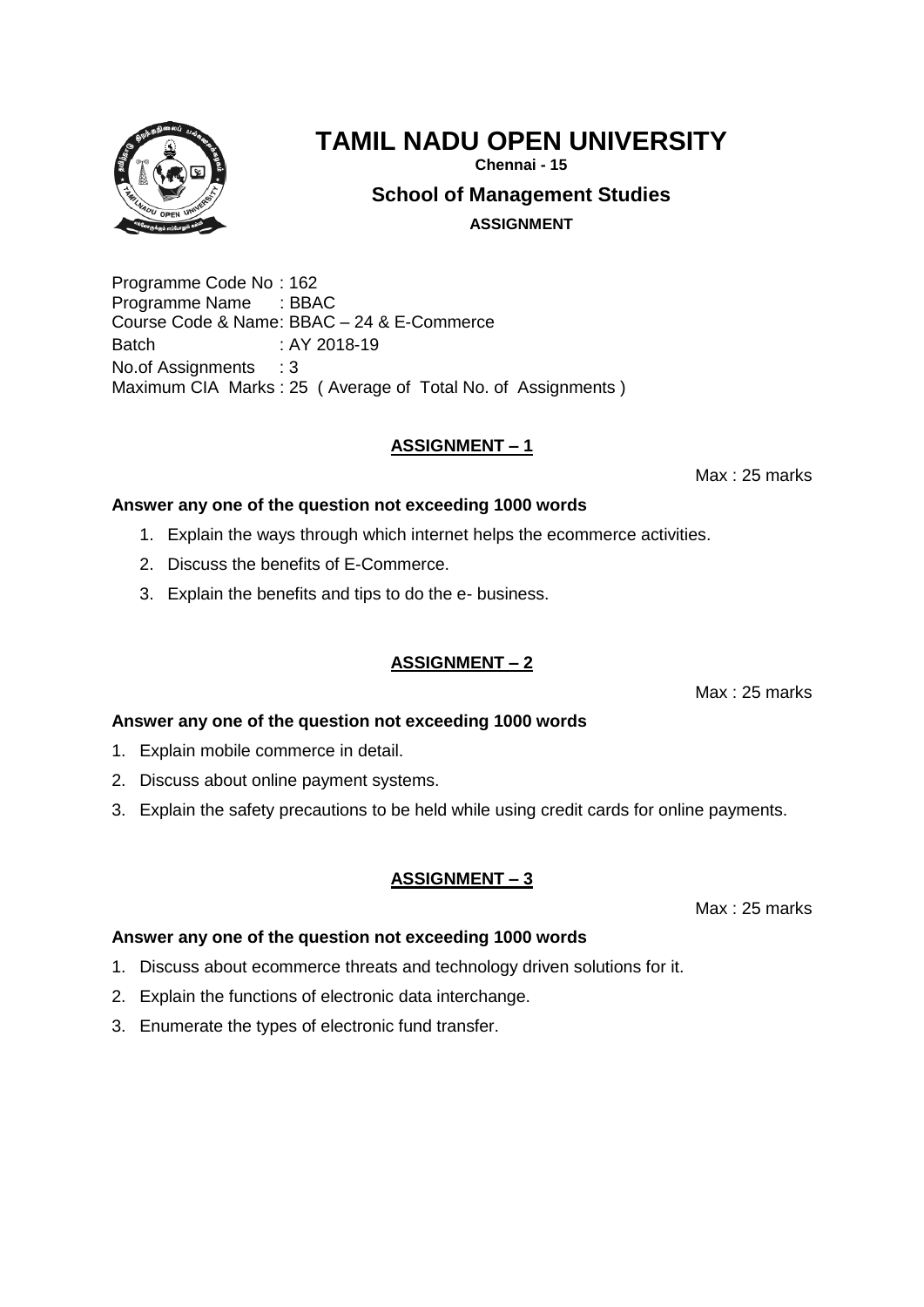

**Chennai - 15**

**School of Management Studies**

**ASSIGNMENT**

Programme Code No : 162 Programme Name : BBAC Course Code & Name: BBAC – 24 & E-Commerce Batch : AY 2018-19 No.of Assignments : 3 Maximum CIA Marks : 25 ( Average of Total No. of Assignments )

## **ASSIGNMENT – 1**

Max : 25 marks

#### **Answer any one of the question not exceeding 1000 words**

- 1. Explain the ways through which internet helps the ecommerce activities.
- 2. Discuss the benefits of E-Commerce.
- 3. Explain the benefits and tips to do the e- business.

## **ASSIGNMENT – 2**

Max : 25 marks

## **Answer any one of the question not exceeding 1000 words**

- 1. Explain mobile commerce in detail.
- 2. Discuss about online payment systems.
- 3. Explain the safety precautions to be held while using credit cards for online payments.

## **ASSIGNMENT – 3**

Max : 25 marks

- 1. Discuss about ecommerce threats and technology driven solutions for it.
- 2. Explain the functions of electronic data interchange.
- 3. Enumerate the types of electronic fund transfer.